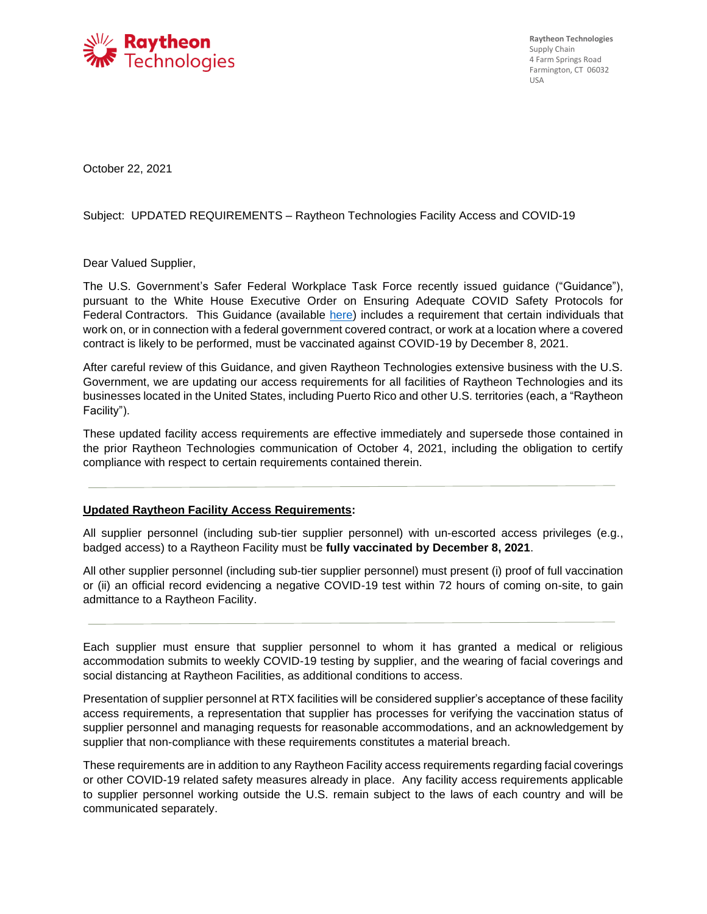

**Raytheon Technologies**  Supply Chain 4 Farm Springs Road Farmington, CT 06032 USA

October 22, 2021

## Subject: UPDATED REQUIREMENTS – Raytheon Technologies Facility Access and COVID-19

Dear Valued Supplier,

The U.S. Government's Safer Federal Workplace Task Force recently issued guidance ("Guidance"), pursuant to the White House Executive Order on Ensuring Adequate COVID Safety Protocols for Federal Contractors. This Guidance (available [here\)](https://www.saferfederalworkforce.gov/downloads/Draft%20contractor%20guidance%20doc_20210922.pdf) includes a requirement that certain individuals that work on, or in connection with a federal government covered contract, or work at a location where a covered contract is likely to be performed, must be vaccinated against COVID-19 by December 8, 2021.

After careful review of this Guidance, and given Raytheon Technologies extensive business with the U.S. Government, we are updating our access requirements for all facilities of Raytheon Technologies and its businesses located in the United States, including Puerto Rico and other U.S. territories (each, a "Raytheon Facility").

These updated facility access requirements are effective immediately and supersede those contained in the prior Raytheon Technologies communication of October 4, 2021, including the obligation to certify compliance with respect to certain requirements contained therein.

## **Updated Raytheon Facility Access Requirements:**

All supplier personnel (including sub-tier supplier personnel) with un-escorted access privileges (e.g., badged access) to a Raytheon Facility must be **fully vaccinated by December 8, 2021**.

All other supplier personnel (including sub-tier supplier personnel) must present (i) proof of full vaccination or (ii) an official record evidencing a negative COVID-19 test within 72 hours of coming on-site, to gain admittance to a Raytheon Facility.

Each supplier must ensure that supplier personnel to whom it has granted a medical or religious accommodation submits to weekly COVID-19 testing by supplier, and the wearing of facial coverings and social distancing at Raytheon Facilities, as additional conditions to access.

Presentation of supplier personnel at RTX facilities will be considered supplier's acceptance of these facility access requirements, a representation that supplier has processes for verifying the vaccination status of supplier personnel and managing requests for reasonable accommodations, and an acknowledgement by supplier that non-compliance with these requirements constitutes a material breach.

These requirements are in addition to any Raytheon Facility access requirements regarding facial coverings or other COVID-19 related safety measures already in place. Any facility access requirements applicable to supplier personnel working outside the U.S. remain subject to the laws of each country and will be communicated separately.